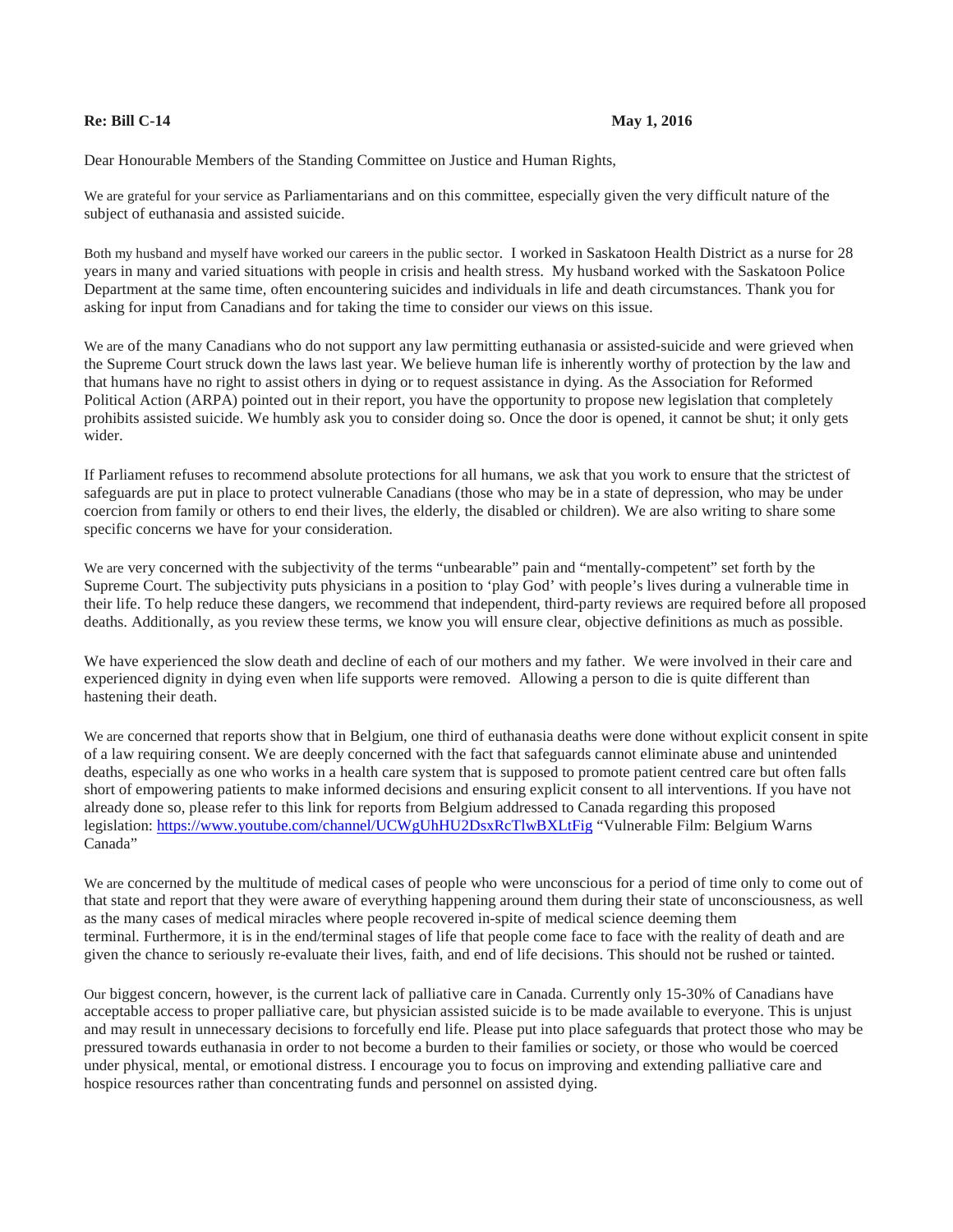## **Re: Bill C-14 May 1, 2016**

Dear Honourable Members of the Standing Committee on Justice and Human Rights,

We are grateful for your service as Parliamentarians and on this committee, especially given the very difficult nature of the subject of euthanasia and assisted suicide.

Both my husband and myself have worked our careers in the public sector. I worked in Saskatoon Health District as a nurse for 28 years in many and varied situations with people in crisis and health stress. My husband worked with the Saskatoon Police Department at the same time, often encountering suicides and individuals in life and death circumstances. Thank you for asking for input from Canadians and for taking the time to consider our views on this issue.

We are of the many Canadians who do not support any law permitting euthanasia or assisted-suicide and were grieved when the Supreme Court struck down the laws last year. We believe human life is inherently worthy of protection by the law and that humans have no right to assist others in dying or to request assistance in dying. As the Association for Reformed Political Action (ARPA) pointed out in their report, you have the opportunity to propose new legislation that completely prohibits assisted suicide. We humbly ask you to consider doing so. Once the door is opened, it cannot be shut; it only gets wider.

If Parliament refuses to recommend absolute protections for all humans, we ask that you work to ensure that the strictest of safeguards are put in place to protect vulnerable Canadians (those who may be in a state of depression, who may be under coercion from family or others to end their lives, the elderly, the disabled or children). We are also writing to share some specific concerns we have for your consideration.

We are very concerned with the subjectivity of the terms "unbearable" pain and "mentally-competent" set forth by the Supreme Court. The subjectivity puts physicians in a position to 'play God' with people's lives during a vulnerable time in their life. To help reduce these dangers, we recommend that independent, third-party reviews are required before all proposed deaths. Additionally, as you review these terms, we know you will ensure clear, objective definitions as much as possible.

We have experienced the slow death and decline of each of our mothers and my father. We were involved in their care and experienced dignity in dying even when life supports were removed. Allowing a person to die is quite different than hastening their death.

We are concerned that reports show that in Belgium, one third of euthanasia deaths were done without explicit consent in spite of a law requiring consent. We are deeply concerned with the fact that safeguards cannot eliminate abuse and unintended deaths, especially as one who works in a health care system that is supposed to promote patient centred care but often falls short of empowering patients to make informed decisions and ensuring explicit consent to all interventions. If you have not already done so, please refer to this link for reports from Belgium addressed to Canada regarding this proposed legislation:<https://www.youtube.com/channel/UCWgUhHU2DsxRcTlwBXLtFig> "Vulnerable Film: Belgium Warns Canada"

We are concerned by the multitude of medical cases of people who were unconscious for a period of time only to come out of that state and report that they were aware of everything happening around them during their state of unconsciousness, as well as the many cases of medical miracles where people recovered in-spite of medical science deeming them terminal. Furthermore, it is in the end/terminal stages of life that people come face to face with the reality of death and are given the chance to seriously re-evaluate their lives, faith, and end of life decisions. This should not be rushed or tainted.

Our biggest concern, however, is the current lack of palliative care in Canada. Currently only 15-30% of Canadians have acceptable access to proper palliative care, but physician assisted suicide is to be made available to everyone. This is unjust and may result in unnecessary decisions to forcefully end life. Please put into place safeguards that protect those who may be pressured towards euthanasia in order to not become a burden to their families or society, or those who would be coerced under physical, mental, or emotional distress. I encourage you to focus on improving and extending palliative care and hospice resources rather than concentrating funds and personnel on assisted dying.